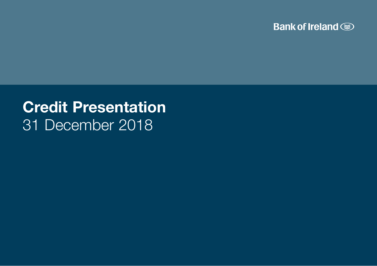

# Credit Presentation 31 December 2018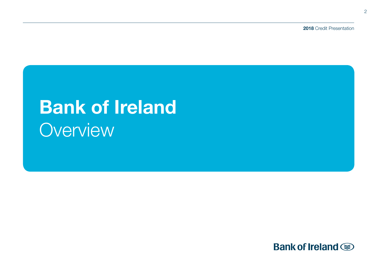2018 Credit Presentation

# **Bank of Ireland Overview**

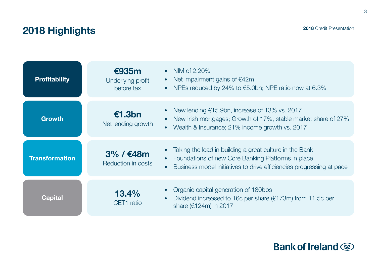# 2018 Highlights

| <b>Profitability</b>  | €935m<br>Underlying profit<br>before tax | NIM of 2.20%<br>$\bullet$<br>Net impairment gains of $€42m$<br>$\bullet$<br>NPEs reduced by 24% to €5.0bn; NPE ratio now at 6.3%<br>$\bullet$                                                                                |
|-----------------------|------------------------------------------|------------------------------------------------------------------------------------------------------------------------------------------------------------------------------------------------------------------------------|
| <b>Growth</b>         | €1.3bn<br>Net lending growth             | New lending $\epsilon$ 15.9bn, increase of 13% vs. 2017<br>$\bullet$<br>New Irish mortgages; Growth of 17%, stable market share of 27%<br>$\bullet$<br>Wealth & Insurance; 21% income growth vs. 2017<br>$\bullet$           |
| <b>Transformation</b> | 3% / €48m<br>Reduction in costs          | Taking the lead in building a great culture in the Bank<br>$\bullet$<br>Foundations of new Core Banking Platforms in place<br>$\bullet$<br>Business model initiatives to drive efficiencies progressing at pace<br>$\bullet$ |
| Capital               | 13.4%<br>CET1 ratio                      | Organic capital generation of 180bps<br>$\bullet$<br>Dividend increased to 16c per share ( $€173m$ ) from 11.5c per<br>$\bullet$<br>share (€124m) in 2017                                                                    |

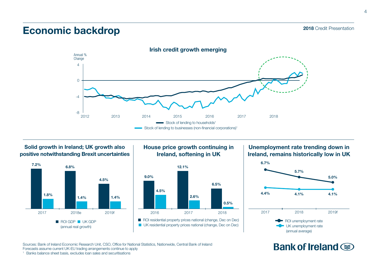### 2018 Credit Presentation

# Economic backdrop



Solid growth in Ireland; UK growth also positive notwithstanding Brexit uncertainties



### House price growth continuing in Ireland, softening in UK



Unemployment rate trending down in Ireland, remains historically low in UK



# Bank of Ireland  $\circledast$

Sources: Bank of Ireland Economic Research Unit, CSO, Office for National Statistics, Nationwide, Central Bank of Ireland Forecasts assume current UK-EU trading arrangements continue to apply <sup>1</sup> Banks balance sheet basis, excludes loan sales and securitisations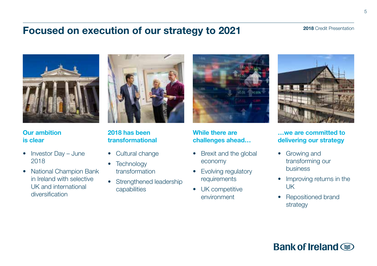# Focused on execution of our strategy to 2021



Our ambition is clear

- Investor Day June 2018
- National Champion Bank in Ireland with selective UK and international diversification



2018 has been transformational

- Cultural change
- Technology transformation
- Strengthened leadership capabilities



While there are challenges ahead…

- Brexit and the global economy
- Evolving regulatory requirements
- UK competitive environment



…we are committed to delivering our strategy

- Growing and transforming our business
- Improving returns in the UK
- Repositioned brand strategy

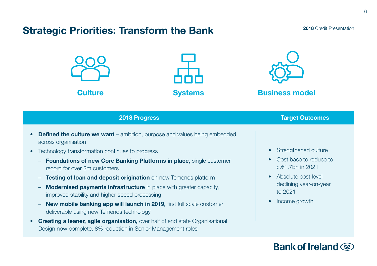# Strategic Priorities: Transform the Bank

### 2018 Credit Presentation







**Culture Culture Systems Business model** 

# **2018 Progress Target Outcomes**

- **Defined the culture we want** ambition, purpose and values being embedded across organisation
- Technology transformation continues to progress
	- Foundations of new Core Banking Platforms in place, single customer record for over 2m customers
	- Testing of loan and deposit origination on new Temenos platform
	- Modernised payments infrastructure in place with greater capacity, improved stability and higher speed processing
	- New mobile banking app will launch in 2019, first full scale customer deliverable using new Temenos technology
- **Creating a leaner, agile organisation, over half of end state Organisational** Design now complete, 8% reduction in Senior Management roles
- Strengthened culture
- Cost base to reduce to c.€1.7bn in 2021
- Absolute cost level declining year-on-year to 2021
- Income growth

# Bank of Ireland  $\circledast$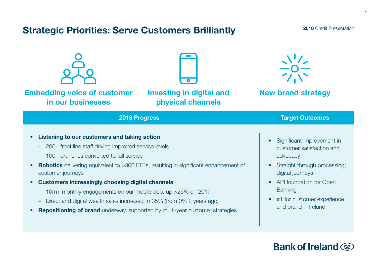# Strategic Priorities: Serve Customers Brilliantly

### 2018 Credit Presentation





Embedding voice of customer in our businesses

Investing in digital and physical channels



New brand strategy

### **2018 Progress Target Outcomes**

- Listening to our customers and taking action
	- 200+ front line staff driving improved service levels
	- 100+ branches converted to full service
- Robotics delivering equivalent to >300 FTEs, resulting in significant enhancement of customer journeys
- Customers increasingly choosing digital channels
	- 10m+ monthly engagements on our mobile app, up >25% on 2017
	- Direct and digital wealth sales increased to 35% (from 0% 2 years ago)
- **Repositioning of brand** underway, supported by multi-year customer strategies
- Significant improvement in customer satisfaction and advocacy
- Straight through processing; digital journeys
- API foundation for Open **Banking**
- #1 for customer experience and brand in Ireland

# Bank of Ireland (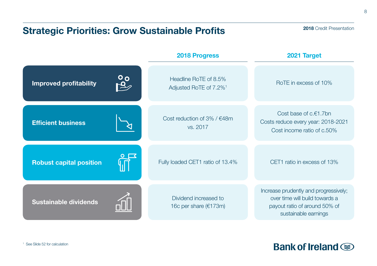# Strategic Priorities: Grow Sustainable Profits

### 2018 Credit Presentation

|                                |               | 2018 Progress                                               | 2021 Target                                                                                                                      |
|--------------------------------|---------------|-------------------------------------------------------------|----------------------------------------------------------------------------------------------------------------------------------|
| <b>Improved profitability</b>  | $\frac{1}{2}$ | Headline RoTE of 8.5%<br>Adjusted RoTE of 7.2% <sup>1</sup> | RoTE in excess of 10%                                                                                                            |
| <b>Efficient business</b>      |               | Cost reduction of $3\%$ / $€48m$<br>vs. 2017                | Cost base of $c.f.7$ bn<br>Costs reduce every year: 2018-2021<br>Cost income ratio of c.50%                                      |
| <b>Robust capital position</b> |               | Fully loaded CET1 ratio of 13.4%                            | CET1 ratio in excess of 13%                                                                                                      |
| <b>Sustainable dividends</b>   |               | Dividend increased to<br>16c per share (€173m)              | Increase prudently and progressively;<br>over time will build towards a<br>payout ratio of around 50% of<br>sustainable earnings |

**Bank of Ireland**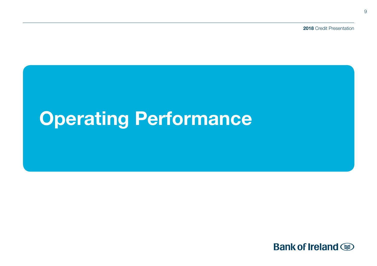2018 Credit Presentation

# Operating Performance

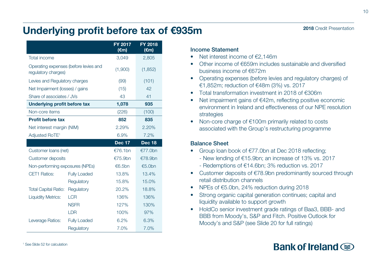# Underlying profit before tax of €935m

|                                                              |                     | FY 2017<br>$(\epsilon m)$ | FY 2018<br>$(\epsilon m)$ |
|--------------------------------------------------------------|---------------------|---------------------------|---------------------------|
| Total income                                                 |                     | 3,049                     | 2,805                     |
| Operating expenses (before levies and<br>regulatory charges) |                     | (1,900)                   | (1,852)                   |
| Levies and Regulatory charges                                |                     | (99)                      | (101)                     |
| Net Impairment (losses) / gains                              |                     | (15)                      | 42                        |
| Share of associates / JVs                                    |                     | 43                        | 41                        |
| Underlying profit before tax                                 |                     | 1,078                     | 935                       |
| Non-core items                                               |                     | (226)                     | (100)                     |
| <b>Profit before tax</b>                                     |                     | 852                       | 835                       |
| Net interest margin (NIM)                                    |                     | 2.29%                     | 2.20%                     |
| Adjusted RoTE <sup>1</sup>                                   |                     | 6.9%                      | 7.2%                      |
|                                                              |                     | <b>Dec 17</b>             | Dec 18                    |
| Customer Ioans (net)                                         |                     | €76.1bn                   | €77.0bn                   |
| Customer deposits                                            |                     | €75.9bn                   | €78.9bn                   |
| Non-performing exposures (NPEs)                              |                     | €6.5bn                    | €5.0bn                    |
| CET1 Ratios:                                                 | <b>Fully Loaded</b> | 13.8%                     | 13.4%                     |
|                                                              | Regulatory          | 15.8%                     | 15.0%                     |
| <b>Total Capital Ratio:</b>                                  | Regulatory          | 20.2%                     | 18.8%                     |
| <b>Liquidity Metrics:</b>                                    | LCR                 | 136%                      | 136%                      |
|                                                              | <b>NSFR</b>         | 127%                      | 130%                      |
|                                                              | <b>LDR</b>          | 100%                      | 97%                       |
| Leverage Ratios:                                             | <b>Fully Loaded</b> | 6.2%                      | 6.3%                      |
|                                                              | Requlatory          | 7.0%                      | 7.0%                      |

### Income Statement

- Net interest income of €2,146m
- Other income of €659m includes sustainable and diversified business income of €672m
- Operating expenses (before levies and regulatory charges) of €1,852m; reduction of €48m (3%) vs. 2017
- Total transformation investment in 2018 of €306m
- Net impairment gains of €42m, reflecting positive economic environment in Ireland and effectiveness of our NPE resolution strategies
- Non-core charge of €100m primarily related to costs associated with the Group's restructuring programme

### Balance Sheet

- Group loan book of €77.0bn at Dec 2018 reflecting;
	- New lending of €15.9bn; an increase of 13% vs. 2017
	- Redemptions of €14.6bn; 3% reduction vs. 2017
- Customer deposits of €78.9bn predominantly sourced through retail distribution channels
- NPEs of €5.0bn, 24% reduction during 2018
- Strong organic capital generation continues; capital and liquidity available to support growth
- HoldCo senior investment grade ratings of Baa3, BBB- and BBB from Moody's, S&P and Fitch. Positive Outlook for Moody's and S&P (see Slide 20 for full ratings)

# Bank of Ireland  $\circledast$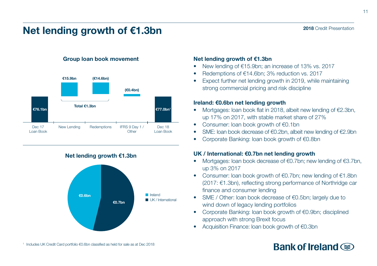# Net lending growth of €1.3bn

### Group loan book movement



Net lending growth €1.3bn



### Net lending growth of €1.3bn

- New lending of €15.9bn; an increase of 13% vs. 2017
- Redemptions of €14.6bn; 3% reduction vs. 2017
- Expect further net lending growth in 2019, while maintaining strong commercial pricing and risk discipline

### Ireland: €0.6bn net lending growth

- Mortgages: loan book flat in 2018, albeit new lending of €2.3bn, up 17% on 2017, with stable market share of 27%
- Consumer: loan book growth of €0.1bn
- SME: loan book decrease of €0.2bn, albeit new lending of €2.9bn
- Corporate Banking: loan book growth of €0.8bn

### UK / International: €0.7bn net lending growth

- Mortgages: loan book decrease of €0.7bn; new lending of €3.7bn, up 3% on 2017
- Consumer: loan book growth of €0.7bn; new lending of €1.8bn (2017: €1.3bn), reflecting strong performance of Northridge car finance and consumer lending
- SME / Other: loan book decrease of €0.5bn; largely due to wind down of legacy lending portfolios
- Corporate Banking: loan book growth of €0.9bn; disciplined approach with strong Brexit focus
- Acquisition Finance: loan book growth of €0.3bn

# Bank of Ireland (

2018 Credit Presentation

<sup>1</sup> Includes UK Credit Card portfolio €0.6bn classified as held for sale as at Dec 2018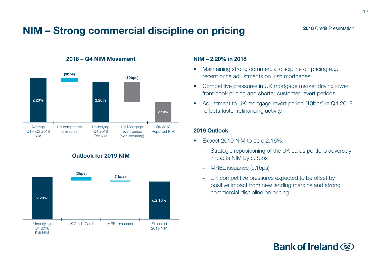# NIM – Strong commercial discipline on pricing



2018 – Q4 NIM Movement

### Outlook for 2019 NIM



### NIM – 2.20% in 2018

- Maintaining strong commercial discipline on pricing e.g. recent price adjustments on Irish mortgages
- Competitive pressures in UK mortgage market driving lower front book pricing and shorter customer revert periods
- Adjustment to UK mortgage revert period (10bps) in Q4 2018 reflects faster refinancing activity

### 2019 Outlook

- Expect 2019 NIM to be c.2.16%:
	- Strategic repositioning of the UK cards portfolio adversely impacts NIM by c.3bps
	- MREL issuance (c.1bps)
	- UK competitive pressures expected to be offset by positive impact from new lending margins and strong commercial discipline on pricing

# Bank of Ireland  $\circledast$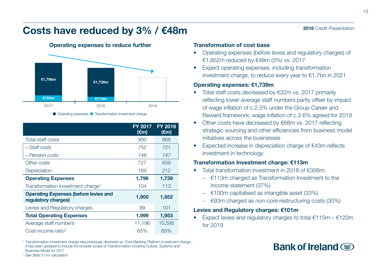

Operating expenses to reduce further

Costs have reduced by 3% / €48m

|                                                                     | FY 2017<br>$(\epsilon m)$ | <b>FY 2018</b><br>$(\epsilon m)$ |
|---------------------------------------------------------------------|---------------------------|----------------------------------|
| Total staff costs                                                   | 900                       | 868                              |
| – Staff costs                                                       | 752                       | 721                              |
| - Pension costs                                                     | 148                       | 147                              |
| Other costs                                                         | 727                       | 659                              |
| Depreciation                                                        | 169                       | 212                              |
| <b>Operating Expenses</b>                                           | 1,796                     | 1,739                            |
| Transformation Investment charge <sup>1</sup>                       | 104                       | 113                              |
| <b>Operating Expenses (before levies and</b><br>regulatory charges) | 1,900                     | 1,852                            |
| Levies and Regulatory charges                                       | 99                        | 101                              |
| <b>Total Operating Expenses</b>                                     | 1,999                     | 1,953                            |
| Average staff numbers                                               | 11,196                    | 10,595                           |
| Cost-income ratio <sup>2</sup>                                      | 65%                       | 65%                              |

<sup>1</sup> Transformation Investment charge was previously disclosed as 'Core Banking Platform Investment charge', it has been updated to include the broader scope of Transformation covering Culture, Systems and Business Model for 2017 <sup>2</sup> See Slide 51 for calculation

### Transformation of cost base

- Operating expenses (before levies and regulatory charges) of €1,852m reduced by €48m (3%) vs. 2017
- Expect operating expenses, including transformation investment charge, to reduce every year to €1.7bn in 2021

### Operating expenses: €1,739m

- Total staff costs decreased by €32m vs. 2017 primarily reflecting lower average staff numbers partly offset by impact of wage inflation of c.2.5% under the Group Career and Reward framework; wage inflation of c.2.6% agreed for 2019
- Other costs have decreased by €68m vs. 2017 reflecting strategic sourcing and other efficiencies from business model initiatives across the businesses
- Expected increase in depreciation charge of €43m reflects investment in technology

### Transformation Investment charge: €113m

- Total transformation investment in 2018 of €306m:
	- $\epsilon$ 113m charged as Transformation Investment to the income statement (37%)
	- $\epsilon$ 100m capitalised as intangible asset (33%)
	- €93m charged as non-core restructuring costs (30%)

### Levies and Regulatory charges: €101m

Expect levies and regulatory charges to total  $€115m - €120m$ for 2019

# Bank of Ireland  $\circledast$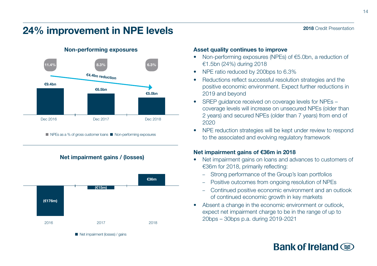# 24% improvement in NPE levels



Non-performing exposures

 $\blacksquare$  NPEs as a % of gross customer loans  $\blacksquare$  Non-performing exposures

Net impairment gains / (losses)



### Asset quality continues to improve

- Non-performing exposures (NPEs) of €5.0bn, a reduction of €1.5bn (24%) during 2018
- NPE ratio reduced by 200bps to 6.3%
- Reductions reflect successful resolution strategies and the positive economic environment. Expect further reductions in 2019 and beyond
- SREP guidance received on coverage levels for NPEs coverage levels will increase on unsecured NPEs (older than 2 years) and secured NPEs (older than 7 years) from end of 2020
- NPE reduction strategies will be kept under review to respond to the associated and evolving regulatory framework

### Net impairment gains of €36m in 2018

- Net impairment gains on loans and advances to customers of €36m for 2018, primarily reflecting:
	- Strong performance of the Group's loan portfolios
	- Positive outcomes from ongoing resolution of NPEs
	- Continued positive economic environment and an outlook of continued economic growth in key markets
- Absent a change in the economic environment or outlook, expect net impairment charge to be in the range of up to

# Bank of Ireland  $\circledast$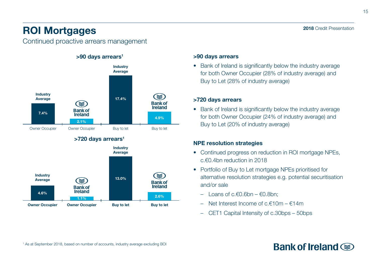# ROI Mortgages

Continued proactive arrears management



### >90 days arrears

• Bank of Ireland is significantly below the industry average for both Owner Occupier (28% of industry average) and Buy to Let (28% of industry average)

### >720 days arrears

• Bank of Ireland is significantly below the industry average for both Owner Occupier (24% of industry average) and Buy to Let (20% of industry average)

### NPE resolution strategies

- Continued progress on reduction in ROI mortgage NPEs, c.€0.4bn reduction in 2018
- Portfolio of Buy to Let mortgage NPEs prioritised for alternative resolution strategies e.g. potential securitisation and/or sale
	- Loans of c.€0.6bn €0.8bn;
	- Net Interest Income of c. $f10m f14m$
	- CET1 Capital Intensity of c.30bps 50bps

# 2018 Credit Presentation

15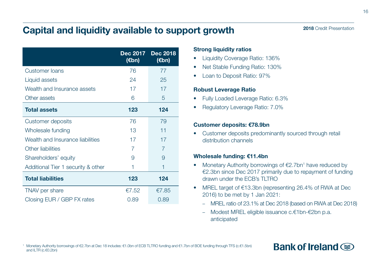# Capital and liquidity available to support growth

|                                    | <b>Dec 2017</b><br>(€bn) | <b>Dec 2018</b><br>(€bn) |
|------------------------------------|--------------------------|--------------------------|
| <b>Customer loans</b>              | 76                       | 77                       |
| Liquid assets                      | 24                       | 25                       |
| Wealth and Insurance assets        | 17                       | 17                       |
| Other assets                       | 6                        | 5                        |
| <b>Total assets</b>                | 123                      | 124                      |
| Customer deposits                  | 76                       | 79                       |
| Wholesale funding                  | 13                       | 11                       |
| Wealth and Insurance liabilities   | 17                       | 17                       |
| Other liabilities                  | 7                        | $\overline{7}$           |
| Shareholders' equity               | 9                        | 9                        |
| Additional Tier 1 security & other | 1                        | 1                        |
| <b>Total liabilities</b>           | 123                      | 124                      |
| TNAV per share                     | €7.52                    | €7.85                    |
| Closing EUR / GBP FX rates         | 0.89                     | 0.89                     |

### **Strong liquidity ratios**

- Liquidity Coverage Ratio: 136%
- Net Stable Funding Ratio: 130%
- Loan to Deposit Ratio: 97%

### Robust Leverage Ratio

- Fully Loaded Leverage Ratio: 6.3%
- Regulatory Leverage Ratio: 7.0%

### Customer deposits: €78.9bn

• Customer deposits predominantly sourced through retail distribution channels

### Wholesale funding: €11.4bn

- Monetary Authority borrowings of  $E2.7$ bn<sup>1</sup> have reduced by €2.3bn since Dec 2017 primarily due to repayment of funding drawn under the FCB's TLTRO
- MREL target of €13.3bn (representing 26.4% of RWA at Dec 2016) to be met by 1 Jan 2021:
	- MREL ratio of 23.1% at Dec 2018 (based on RWA at Dec 2018)
	- Modest MREL eligible issuance c.€1bn-€2bn p.a. anticipated

# Bank of Ireland  $\circledast$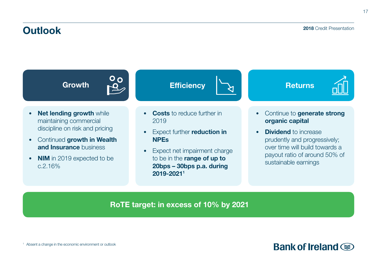# **Outlook**

### 2018 Credit Presentation



RoTE target: in excess of 10% by 2021

<sup>1</sup> Absent a change in the economic environment or outlook

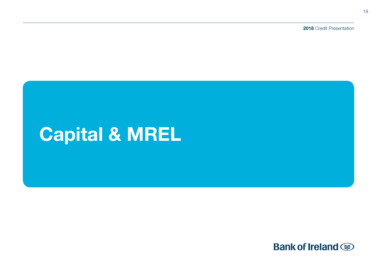2018 Credit Presentation

# Capital & MREL

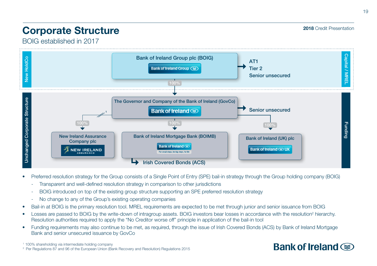# Corporate Structure

2018 Credit Presentation

BOIG established in 2017



- Preferred resolution strategy for the Group consists of a Single Point of Entry (SPE) bail-in strategy through the Group holding company (BOIG)
	- Transparent and well-defined resolution strategy in comparison to other jurisdictions
	- BOIG introduced on top of the existing group structure supporting an SPE preferred resolution strategy
	- No change to any of the Group's existing operating companies
- Bail-in at BOIG is the primary resolution tool. MREL requirements are expected to be met through junior and senior issuance from BOIG
- Losses are passed to BOIG by the write-down of intragroup assets. BOIG investors bear losses in accordance with the resolution<sup>2</sup> hierarchy. Resolution authorities required to apply the "No Creditor worse off" principle in application of the bail-in tool
- Funding requirements may also continue to be met, as required, through the issue of Irish Covered Bonds (ACS) by Bank of Ireland Mortgage Bank and senior unsecured issuance by GovCo

1 100% shareholding via intermediate holding company <sup>2</sup> Per Regulations 87 and 96 of the European Union (Bank Recovery and Resolution) Regulations 2015

# Bank of Ireland (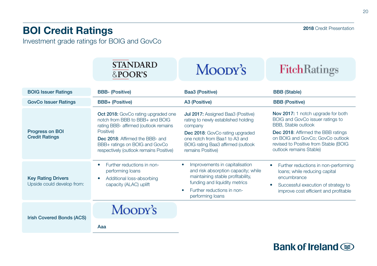# BOI Credit Ratings

Investment grade ratings for BOIG and GovCo

|                                                           | <b>STANDARD</b><br>&POOR'S                                                                                                                                                                                                                   | Moody's                                                                                                                                                                                                             | <b>FitchRatings</b>                                                                                                                                                                                                                                |
|-----------------------------------------------------------|----------------------------------------------------------------------------------------------------------------------------------------------------------------------------------------------------------------------------------------------|---------------------------------------------------------------------------------------------------------------------------------------------------------------------------------------------------------------------|----------------------------------------------------------------------------------------------------------------------------------------------------------------------------------------------------------------------------------------------------|
| <b>BOIG Issuer Ratings</b><br><b>GovCo Issuer Ratings</b> | <b>BBB- (Positive)</b><br><b>BBB+ (Positive)</b>                                                                                                                                                                                             | Baa3 (Positive)<br>A3 (Positive)                                                                                                                                                                                    | <b>BBB</b> (Stable)<br><b>BBB</b> (Positive)                                                                                                                                                                                                       |
| Progress on BOI<br><b>Credit Ratings</b>                  | Oct 2018: GovCo rating upgraded one<br>notch from BBB to BBB+ and BOIG<br>rating BBB- affirmed (outlook remains<br>Positive)<br>Dec 2018: Affirmed the BBB- and<br>BBB+ ratings on BOIG and GovCo<br>respectively (outlook remains Positive) | Jul 2017: Assigned Baa3 (Positive)<br>rating to newly established holding<br>company<br>Dec 2018: GovCo rating upgraded<br>one notch from Baa1 to A3 and<br>BOIG rating Baa3 affirmed (outlook<br>remains Positive) | Nov 2017: 1 notch upgrade for both<br>BOIG and GovCo issuer ratings to<br><b>BBB.</b> Stable outlook<br>Dec 2018: Affirmed the BBB ratings<br>on BOIG and GovCo; GovCo outlook<br>revised to Positive from Stable (BOIG<br>outlook remains Stable) |
| <b>Key Rating Drivers</b><br>Upside could develop from:   | Further reductions in non-<br>٠<br>performing loans<br>Additional loss-absorbing<br>$\bullet$<br>capacity (ALAC) uplift                                                                                                                      | Improvements in capitalisation<br>and risk absorption capacity; while<br>maintaining stable profitability,<br>funding and liquidity metrics<br>Further reductions in non-<br>٠<br>performing loans                  | Further reductions in non-performing<br>loans; while reducing capital<br>encumbrance<br>Successful execution of strategy to<br>٠<br>improve cost efficient and profitable                                                                          |
| Irish Covered Bonds (ACS)                                 | Moody's<br>$\mathbf{A}$                                                                                                                                                                                                                      |                                                                                                                                                                                                                     |                                                                                                                                                                                                                                                    |

Aaa

20

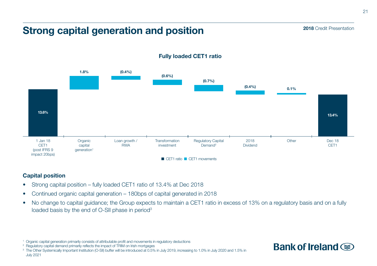# Strong capital generation and position

13.6% (0.7%)  $(0.4\%)$  0.1% 1.8% (0.4%) (0.6%) **Transformation** investment 1 Jan 18 CET1 (post IFRS 9 impact 20bps) Loan growth / **RWA** Organic capital generation<sup>1</sup> Regulatory Capital Demand<sup>2</sup> 2018 Dividend Other Dec 18 CET1 13.4%  $\blacksquare$  CET1 ratio  $\blacksquare$  CET1 movements

### Fully loaded CET1 ratio

### Capital position

- Strong capital position fully loaded CET1 ratio of 13.4% at Dec 2018
- Continued organic capital generation 180bps of capital generated in 2018
- No change to capital guidance; the Group expects to maintain a CET1 ratio in excess of 13% on a regulatory basis and on a fully loaded basis by the end of O-SII phase in period<sup>3</sup>

<sup>3</sup> The Other Systemically Important Institution (O-SII) buffer will be introduced at 0.5% in July 2019, increasing to 1.0% in July 2020 and 1.5% in July 2021





<sup>1</sup> Organic capital generation primarily consists of attributable profit and movements in regulatory deductions

<sup>&</sup>lt;sup>2</sup> Regulatory capital demand primarily reflects the impact of TRIM on Irish mortgages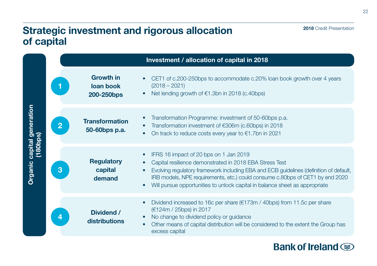# Strategic investment and rigorous allocation of capital

|                            |                |                                             | Investment / allocation of capital in 2018                                                                                                                                                                                                                                                                                                                                            |
|----------------------------|----------------|---------------------------------------------|---------------------------------------------------------------------------------------------------------------------------------------------------------------------------------------------------------------------------------------------------------------------------------------------------------------------------------------------------------------------------------------|
|                            |                | <b>Growth in</b><br>loan book<br>200-250bps | CET1 of c.200-250bps to accommodate c.20% loan book growth over 4 years<br>$(2018 - 2021)$<br>Net lending growth of €1.3bn in 2018 (c.40bps)                                                                                                                                                                                                                                          |
| Organic capital generation | $\overline{2}$ | <b>Transformation</b><br>50-60bps p.a.      | Transformation Programme: investment of 50-60bps p.a.<br>Transformation investment of €306m (c.60bps) in 2018<br>On track to reduce costs every year to $€1.7$ bn in 2021<br>$\bullet$                                                                                                                                                                                                |
| (180 <u>bps)</u>           | 3              | <b>Regulatory</b><br>capital<br>demand      | IFRS 16 impact of 20 bps on 1 Jan 2019<br>Capital resilience demonstrated in 2018 EBA Stress Test<br>Evolving regulatory framework including EBA and ECB guidelines (definition of default,<br>$\bullet$<br>IRB models, NPE requirements, etc.) could consume c.80bps of CET1 by end 2020<br>Will pursue opportunities to unlock capital in balance sheet as appropriate<br>$\bullet$ |
|                            |                | Dividend /<br>distributions                 | Dividend increased to 16c per share ( $\epsilon$ 173m / 40bps) from 11.5c per share<br>$\bullet$<br>(€124m / 25bps) in 2017<br>No change to dividend policy or guidance<br>$\bullet$<br>Other means of capital distribution will be considered to the extent the Group has<br>$\bullet$<br>excess capital                                                                             |

# **Bank of Ireland**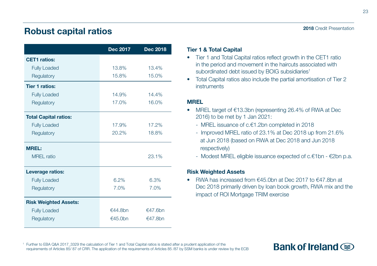# Robust capital ratios

|                              | Dec 2017 | Dec 2018 |
|------------------------------|----------|----------|
| <b>CET1</b> ratios:          |          |          |
| <b>Fully Loaded</b>          | 13.8%    | 13.4%    |
| Regulatory                   | 15.8%    | 15.0%    |
| <b>Tier 1 ratios:</b>        |          |          |
| <b>Fully Loaded</b>          | 14.9%    | 14.4%    |
| Regulatory                   | 17.0%    | 16.0%    |
| <b>Total Capital ratios:</b> |          |          |
| <b>Fully Loaded</b>          | 17.9%    | 17.2%    |
| Regulatory                   | 20.2%    | 18.8%    |
| <b>MREL:</b>                 |          |          |
| <b>MREL</b> ratio            |          | 23.1%    |
| Leverage ratios:             |          |          |
| <b>Fully Loaded</b>          | 6.2%     | 6.3%     |
| Regulatory                   | 7.0%     | 7.0%     |
| <b>Risk Weighted Assets:</b> |          |          |
| <b>Fully Loaded</b>          | €44.8bn  | €47.6bn  |
| Regulatory                   | €45.0bn  | €47.8bn  |

### 2018 Credit Presentation

### Tier 1 & Total Capital

- Tier 1 and Total Capital ratios reflect growth in the CET1 ratio in the period and movement in the haircuts associated with subordinated debt issued by BOIG subsidiaries<sup>1</sup>
- Total Capital ratios also include the partial amortisation of Tier 2 instruments

### MREL

- MREL target of €13.3bn (representing 26.4% of RWA at Dec 2016) to be met by 1 Jan 2021:
	- MREL issuance of c.€1.2bn completed in 2018
	- Improved MREL ratio of 23.1% at Dec 2018 up from 21.6% at Jun 2018 (based on RWA at Dec 2018 and Jun 2018 respectively)
	- Modest MREL eligible issuance expected of c.€1bn €2bn p.a.

### Risk Weighted Assets

• RWA has increased from €45.0bn at Dec 2017 to €47.8bn at Dec 2018 primarily driven by loan book growth, RWA mix and the impact of ROI Mortgage TRIM exercise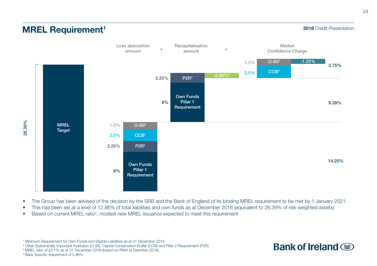### 2018 Credit Presentation



- The Group has been advised of the decision by the SRB and the Bank of England of its binding MREL requirement to be met by 1 January 2021.
- This has been set at a level of 12.86% of total liabilities and own funds as at December 2016 (equivalent to 26.39% of risk weighted assets)
- Based on current MREL ratio<sup>3</sup>, modest new MREL issuance expected to meet this requirement

1 Minimum Requirement for Own Funds and Eligible Liabilities as at 31 December 2018

2 Other Systemically Important Institution (O-SII), Capital Conservation Buffer (CCB) and Pillar 2 Requirement (P2R)

3 MREL ratio of 23.1% as at 31 December 2018 (based on RWA at Deember 2018)

4 Bank Specific Adjustment of 0.86%

**MREL Requirement<sup>1</sup>** 

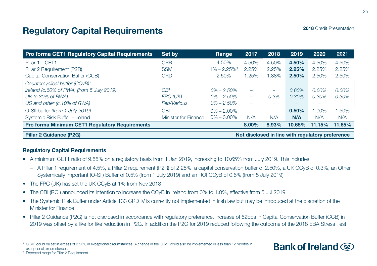# Regulatory Capital Requirements

2018 Credit Presentation

| <b>Pro forma CET1 Regulatory Capital Requirements</b> | Set by               | Range                       | 2017  | 2018                     | 2019                                             | 2020   | 2021   |
|-------------------------------------------------------|----------------------|-----------------------------|-------|--------------------------|--------------------------------------------------|--------|--------|
| Pillar 1 - CET1                                       | <b>CRR</b>           | 4.50%                       | 4.50% | 4.50%                    | 4.50%                                            | 4.50%  | 4.50%  |
| Pillar 2 Requirement (P2R)                            | <b>SSM</b>           | $1\% - 2.25\%$ <sup>2</sup> | 2.25% | 2.25%                    | 2.25%                                            | 2.25%  | 2.25%  |
| Capital Conservation Buffer (CCB)                     | <b>CRD</b>           | 2.50%                       | 1.25% | 1.88%                    | 2.50%                                            | 2.50%  | 2.50%  |
| Countercyclical buffer (CCvB) <sup>1</sup>            |                      |                             |       |                          |                                                  |        |        |
| Ireland (c.60% of RWA) (from 5 July 2019)             | CBI                  | $0\% - 2.50\%$              | -     | $\overline{\phantom{0}}$ | 0.60%                                            | 0.60%  | 0.60%  |
| UK (c.30% of RWA)                                     | FPC (UK)             | $0\% - 2.50\%$              | -     | 0.3%                     | 0.30%                                            | 0.30%  | 0.30%  |
| US and other (c.10% of RWA)                           | Fed/Various          | $0\% - 2.50\%$              |       |                          |                                                  |        | ٠      |
| O-SII buffer (from 1 July 2019)                       | <b>CBI</b>           | $0\% - 2.00\%$              |       | -                        | 0.50%                                            | 1.00%  | 1.50%  |
| Systemic Risk Buffer - Ireland                        | Minister for Finance | $0\% - 3.00\%$              | N/A   | N/A                      | N/A                                              | N/A    | N/A    |
| Pro forma Minimum CET1 Regulatory Requirements        |                      |                             | 8.00% | 8.93%                    | 10.65%                                           | 11.15% | 11.65% |
| <b>Pillar 2 Guidance (P2G)</b>                        |                      |                             |       |                          | Not disclosed in line with regulatory preference |        |        |

### Regulatory Capital Requirements

- A minimum CET1 ratio of 9.55% on a regulatory basis from 1 Jan 2019, increasing to 10.65% from July 2019. This includes
	- A Pillar 1 requirement of 4.5%, a Pillar 2 requirement (P2R) of 2.25%, a capital conservation buffer of 2.50%, a UK CCyB of 0.3%, an Other Systemically Important (O-SII) Buffer of 0.5% (from 1 July 2019) and an ROI CCyB of 0.6% (from 5 July 2019)
- The FPC (UK) has set the UK CCyB at 1% from Nov 2018
- The CBI (ROI) announced its intention to increase the CCyB in Ireland from 0% to 1.0%, effective from 5 Jul 2019
- The Systemic Risk Buffer under Article 133 CRD IV is currently not implemented in Irish law but may be introduced at the discretion of the Minister for Finance
- Pillar 2 Guidance (P2G) is not disclosed in accordance with regulatory preference, increase of 62bps in Capital Conservation Buffer (CCB) in 2019 was offset by a like for like reduction in P2G. In addition the P2G for 2019 reduced following the outcome of the 2018 EBA Stress Test

<sup>2</sup> Expected range for Pillar 2 Requirement



<sup>1</sup> CCyB could be set in excess of 2.50% in exceptional circumstances. A change in the CCyB could also be implemented in less than 12 months in exceptional circumstances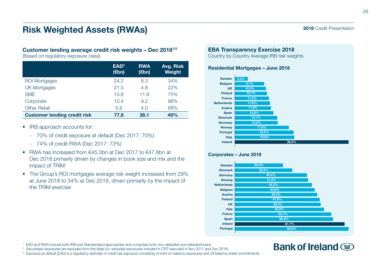# Risk Weighted Assets (RWAs)

### Customer lending average credit risk weights – Dec 20181/2

(Based on regulatory exposure class)

|                                     | EAD <sup>3</sup><br>$(\epsilon$ bn) | <b>RWA</b><br>(€bn) | Avg. Risk<br>Weight |
|-------------------------------------|-------------------------------------|---------------------|---------------------|
| <b>ROI Mortgages</b>                | 24.2                                | 8.3                 | 34%                 |
| <b>UK Mortgages</b>                 | 21.5                                | 4.8                 | 22%                 |
| <b>SME</b>                          | 15.8                                | 11.9                | 75%                 |
| Corporate                           | 10.4                                | 9.2                 | 88%                 |
| <b>Other Retail</b>                 | 5.8                                 | 4.0                 | 68%                 |
| <b>Customer lending credit risk</b> | 77.8                                | 38.1                | 49%                 |

- IRB approach accounts for:
	- 70% of credit exposure at default (Dec 2017: 70%)
	- 74% of credit RWA (Dec 2017: 73%)
- RWA has increased from €45.0bn at Dec 2017 to €47.8bn at Dec 2018 primarily driven by changes in book size and mix and the impact of TRIM
- The Group's ROI mortgages average risk weight increased from 29% at June 2018 to 34% at Dec 2018, driven primarily by the impact of the TRIM exercise

### EBA Transparency Exercise 2018

Country by Country Average IRB risk weights

### Residential Mortgages – June 2018



### Corporates – June 2018



### <sup>1</sup> EAD and RWA include both IRB and Standardised approaches and comprises both non-defaulted and defaulted loans

<sup>2</sup> Securitised exposures are excluded from the table (i.e. excludes exposures included in CRT executed in Nov 2017 and Dec 2016)

<sup>3</sup> Exposure at default (EAD) is a regulatory estimate of credit risk exposure consisting of both on balance exposures and off balance sheet commitments

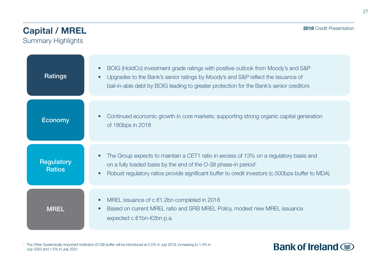# Capital / MREL

Summary Highlights

| Ratings                     | BOIG (HoldCo) investment grade ratings with positive outlook from Moody's and S&P<br>Upgrades to the Bank's senior ratings by Moody's and S&P reflect the issuance of<br>bail-in-able debt by BOIG leading to greater protection for the Bank's senior creditors          |
|-----------------------------|---------------------------------------------------------------------------------------------------------------------------------------------------------------------------------------------------------------------------------------------------------------------------|
| <b>Economy</b>              | Continued economic growth in core markets; supporting strong organic capital generation<br>of 180bps in 2018                                                                                                                                                              |
| Regulatory<br><b>Ratios</b> | The Group expects to maintain a CET1 ratio in excess of 13% on a regulatory basis and<br>on a fully loaded basis by the end of the O-SII phase-in period <sup>1</sup><br>Robust regulatory ratios provide significant buffer to credit investors (c.500bps buffer to MDA) |
| <b>MREL</b>                 | MREL issuance of c.€1.2bn completed in 2018<br>Based on current MREL ratio and SRB MREL Policy, modest new MREL issuance<br>expected c.€1bn-€2bn p.a.                                                                                                                     |

<sup>1</sup> The Other Systemically Important Institution (O-SII) buffer will be introduced at 0.5% in July 2019, increasing to 1.0% in July 2020 and 1.5% in July 2021

# **Bank of Ireland**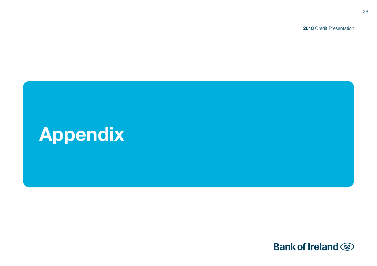2018 Credit Presentation

# Appendix

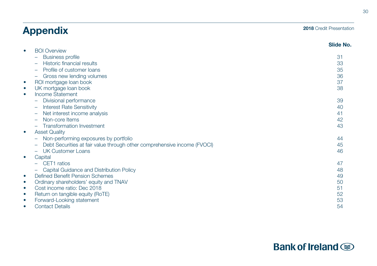# Appendix

### 2018 Credit Presentation

|                                                                          | <b>Slide No.</b> |
|--------------------------------------------------------------------------|------------------|
| <b>BOI Overview</b><br>$\bullet$                                         |                  |
| <b>Business profile</b>                                                  | 31               |
| Historic financial results                                               | 33               |
| Profile of customer loans                                                | 35               |
| Gross new lending volumes                                                | 36               |
| ROI mortgage loan book<br>$\bullet$                                      | 37               |
| UK mortgage loan book<br>$\bullet$                                       | 38               |
| <b>Income Statement</b><br>$\bullet$                                     |                  |
| Divisional performance                                                   | 39               |
| <b>Interest Rate Sensitivity</b>                                         | 40               |
| Net interest income analysis                                             | 41               |
| Non-core Items                                                           | 42               |
| <b>Transformation Investment</b>                                         | 43               |
| <b>Asset Quality</b><br>$\bullet$                                        |                  |
| Non-performing exposures by portfolio                                    | 44               |
| Debt Securities at fair value through other comprehensive income (FVOCI) | 45               |
| <b>UK Customer Loans</b>                                                 | 46               |
| Capital<br>$\bullet$                                                     |                  |
| CET1 ratios                                                              | 47               |
| Capital Guidance and Distribution Policy                                 | 48               |
| <b>Defined Benefit Pension Schemes</b><br>$\bullet$                      | 49               |
| Ordinary shareholders' equity and TNAV<br>$\bullet$                      | 50               |
| Cost income ratio: Dec 2018<br>$\bullet$                                 | 51               |
| Return on tangible equity (RoTE)<br>$\bullet$                            | 52               |
| Forward-Looking statement<br>$\bullet$                                   | 53               |
| <b>Contact Details</b><br>$\bullet$                                      | 54               |



# **Bank of Ireland**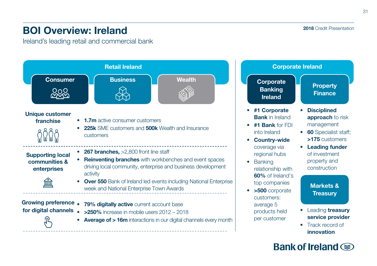# BOI Overview: Ireland

Ireland's leading retail and commercial bank



# 2018 Credit Presentation

# **Bank of Ireland Some**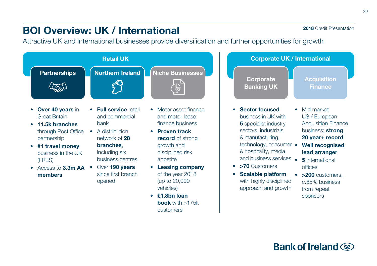# BOI Overview: UK / International

Attractive UK and International businesses provide diversification and further opportunities for growth

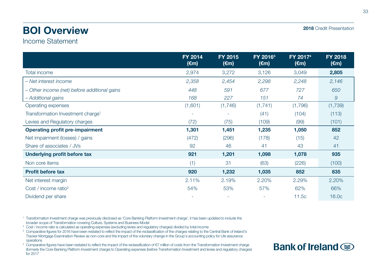# BOI Overview

2018 Credit Presentation

# Income Statement

|                                               | <b>FY 2014</b><br>(€m) | FY 2015<br>$(\epsilon m)$ | FY 2016 <sup>3</sup><br>$(\epsilon m)$ | FY 2017 <sup>4</sup><br>$(\epsilon m)$ | <b>FY 2018</b><br>$(\epsilon m)$ |
|-----------------------------------------------|------------------------|---------------------------|----------------------------------------|----------------------------------------|----------------------------------|
| Total income                                  | 2,974                  | 3,272                     | 3,126                                  | 3,049                                  | 2,805                            |
| – Net interest income                         | 2,358                  | 2,454                     | 2,298                                  | 2,248                                  | 2,146                            |
| - Other income (net) before additional gains  | 448                    | 591                       | 677                                    | 727                                    | 650                              |
| - Additional gains                            | 168                    | 227                       | 151                                    | 74                                     | 9                                |
| Operating expenses                            | (1,601)                | (1,746)                   | (1,741)                                | (1,796)                                | (1,739)                          |
| Transformation Investment charge <sup>1</sup> |                        | ۰                         | (41)                                   | (104)                                  | (113)                            |
| Levies and Regulatory charges                 | (72)                   | (75)                      | (109)                                  | (99)                                   | (101)                            |
| <b>Operating profit pre-impairment</b>        | 1,301                  | 1,451                     | 1,235                                  | 1,050                                  | 852                              |
| Net impairment (losses) / gains               | (472)                  | (296)                     | (178)                                  | (15)                                   | 42                               |
| Share of associates / JVs                     | 92                     | 46                        | 41                                     | 43                                     | 41                               |
| Underlying profit before tax                  | 921                    | 1,201                     | 1,098                                  | 1,078                                  | 935                              |
| Non core items                                | (1)                    | 31                        | (63)                                   | (226)                                  | (100)                            |
| <b>Profit before tax</b>                      | 920                    | 1,232                     | 1,035                                  | 852                                    | 835                              |
| Net interest margin                           | 2.11%                  | 2.19%                     | 2.20%                                  | 2.29%                                  | 2.20%                            |
| Cost / income ratio <sup>2</sup>              | 54%                    | 53%                       | 57%                                    | 62%                                    | 66%                              |
| Dividend per share                            |                        | ٠                         | ٠                                      | 11.5c                                  | 16.0c                            |

<sup>1</sup> Transformation Investment charge was previously disclosed as 'Core Banking Platform Investment charge', it has been updated to include the broader scope of Transformation covering Culture, Systems and Business Model

- <sup>2</sup> Cost / income ratio is calculated as operating expenses (excluding levies and regulatory charges) divided by total income
- <sup>3</sup> Comparative figures for 2016 have been restated to reflect the impact of the reclassification of the charges relating to the Central Bank of Ireland's Tracker Mortgage Examination Review as non-core and the impact of the voluntary change in the Group's accounting policy for Life assurance operations
- <sup>4</sup> Comparative figures have been restated to reflect the impact of the reclassification of €7 million of costs from the Transformation Investment charge (formerly the Core Banking Platform Investment charge) to Operating expenses (before Transformation Investment and levies and regulatory charges) for 2017

# **Bank of Ireland Some**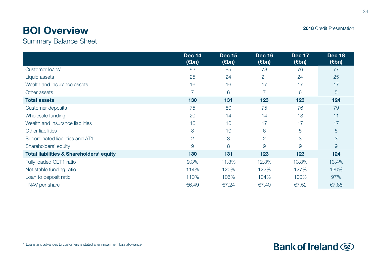# BOI Overview

Summary Balance Sheet

|                                                     | <b>Dec 14</b><br>$(\epsilon$ bn) | <b>Dec 15</b><br>(€bn) | <b>Dec 16</b><br>$(\epsilon$ bn) | Dec 17<br>$(\epsilon$ bn) | <b>Dec 18</b><br>$(\epsilon$ bn) |
|-----------------------------------------------------|----------------------------------|------------------------|----------------------------------|---------------------------|----------------------------------|
| Customer loans <sup>1</sup>                         | 82                               | 85                     | 78                               | 76                        | 77                               |
| Liquid assets                                       | 25                               | 24                     | 21                               | 24                        | 25                               |
| Wealth and Insurance assets                         | 16                               | 16                     | 17                               | 17                        | 17                               |
| Other assets                                        | 7                                | 6                      | $\overline{7}$                   | 6                         | 5                                |
| <b>Total assets</b>                                 | 130                              | 131                    | 123                              | 123                       | 124                              |
| Customer deposits                                   | 75                               | 80                     | 75                               | 76                        | 79                               |
| Wholesale funding                                   | 20                               | 14                     | 14                               | 13                        | 11                               |
| Wealth and Insurance liabilities                    | 16                               | 16                     | 17                               | 17                        | 17                               |
| Other liabilities                                   | 8                                | 10                     | 6                                | 5                         | 5                                |
| Subordinated liabilities and AT1                    | $\overline{2}$                   | 3                      | $\overline{2}$                   | 3                         | 3                                |
| Shareholders' equity                                | 9                                | 8                      | 9                                | 9                         | $\overline{9}$                   |
| <b>Total liabilities &amp; Shareholders' equity</b> | 130                              | 131                    | 123                              | 123                       | 124                              |
| Fully loaded CET1 ratio                             | 9.3%                             | 11.3%                  | 12.3%                            | 13.8%                     | 13.4%                            |
| Net stable funding ratio                            | 114%                             | 120%                   | 122%                             | 127%                      | 130%                             |
| Loan to deposit ratio                               | 110%                             | 106%                   | 104%                             | 100%                      | 97%                              |
| TNAV per share                                      | €6.49                            | €7.24                  | €7.40                            | €7.52                     | €7.85                            |

34

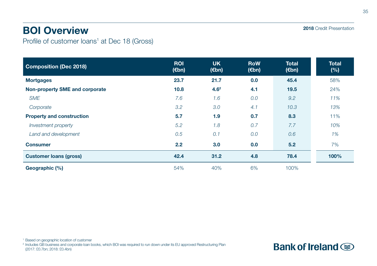# BOI Overview

Profile of customer loans<sup>1</sup> at Dec 18 (Gross)

| <b>Composition (Dec 2018)</b>    | <b>ROI</b><br>$(\epsilon$ bn) | <b>UK</b><br>$(\epsilon$ bn) | <b>RoW</b><br>$(\epsilon$ bn) | <b>Total</b><br>$(\epsilon$ bn) | <b>Total</b><br>(%) |
|----------------------------------|-------------------------------|------------------------------|-------------------------------|---------------------------------|---------------------|
| <b>Mortgages</b>                 | 23.7                          | 21.7                         | 0.0                           | 45.4                            | 58%                 |
| Non-property SME and corporate   | 10.8                          | 4.6 <sup>2</sup>             | 4.1                           | 19.5                            | 24%                 |
| <b>SME</b>                       | 7.6                           | 1.6                          | 0.0                           | 9.2                             | 11%                 |
| Corporate                        | 3.2                           | 3.0                          | 4.1                           | 10.3                            | 13%                 |
| <b>Property and construction</b> | 5.7                           | 1.9                          | 0.7                           | 8.3                             | 11%                 |
| Investment property              | 5.2                           | 1.8                          | 0.7                           | 7.7                             | 10%                 |
| Land and development             | 0.5                           | 0.1                          | 0.0                           | 0.6                             | 1%                  |
| <b>Consumer</b>                  | 2.2                           | 3.0                          | 0.0                           | 5.2                             | 7%                  |
| <b>Customer loans (gross)</b>    | 42.4                          | 31.2                         | 4.8                           | 78.4                            | 100%                |
| Geographic (%)                   | 54%                           | 40%                          | 6%                            | 100%                            |                     |

<sup>2</sup> Includes GB business and corporate loan books, which BOI was required to run down under its EU approved Restructuring Plan (2017: £0.7bn; 2018: £0.4bn)

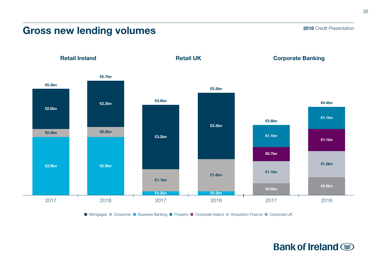# Gross new lending volumes

€2.9bn €5.7bn €2.3bn €0.5bn €0.7bn €1.1bn €1.1bn €1.1bn €0.6bn €0.9bn €3.6bn €4.4bn Corporate Banking 2017 2018 2017 2018 2017 2018 £4.6bn Retail UK £3.2bn £3.3bn £0.2bn £0.2bn £1.1bn £1.6bn €1.1bn €1.2bn Retail Ireland €5.3bn €2.0bn €2.9bn €0.4bn £5.2bn

■ Mortgages ■ Consumer ■ Business Banking ■ Property ■ Corporate Ireland ■ Acquisition Finance ■ Corporate UK

2018 Credit Presentation

36

Bank of Ireland So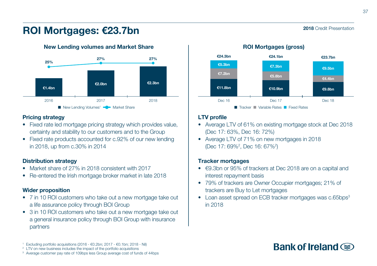### 2018 Credit Presentation

# ROI Mortgages: €23.7bn



New Lending volumes and Market Share

### Pricing strategy

- Fixed rate led mortgage pricing strategy which provides value, certainty and stability to our customers and to the Group
- Fixed rate products accounted for c.92% of our new lending in 2018, up from c.30% in 2014

### Distribution strategy

- Market share of 27% in 2018 consistent with 2017
- Re-entered the Irish mortgage broker market in late 2018

### Wider proposition

- 7 in 10 ROI customers who take out a new mortgage take out a life assurance policy through BOI Group
- 3 in 10 ROI customers who take out a new mortgage take out a general insurance policy through BOI Group with insurance partners



### LTV profile

- Average LTV of 61% on existing mortgage stock at Dec 2018 (Dec 17: 63%, Dec 16: 72%)
- Average LTV of 71% on new mortgages in 2018 (Dec 17: 69%<sup>2</sup>, Dec 16: 67%<sup>2</sup>)

### Tracker mortgages

- €9.3bn or 95% of trackers at Dec 2018 are on a capital and interest repayment basis
- 79% of trackers are Owner Occupier mortgages; 21% of trackers are Buy to Let mortgages
- Loan asset spread on ECB tracker mortgages was c.65bps<sup>3</sup> in 2018

# Bank of Ireland  $\circledast$

<sup>1</sup> Excluding portfolio acquisitions (2016 - €0.2bn; 2017 - €0.1bn; 2018 - Nil)

<sup>&</sup>lt;sup>2</sup> LTV on new business includes the impact of the portfolio acquisitions

<sup>3</sup> Average customer pay rate of 109bps less Group average cost of funds of 44bps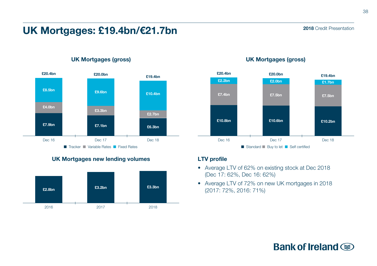# UK Mortgages: £19.4bn/€21.7bn



### UK Mortgages (gross)



UK Mortgages new lending volumes

### UK Mortgages (gross)



### LTV profile

- Average LTV of 62% on existing stock at Dec 2018 (Dec 17: 62%, Dec 16: 62%)
- Average LTV of 72% on new UK mortgages in 2018 (2017: 72%, 2016: 71%)

# **Bank of Ireland**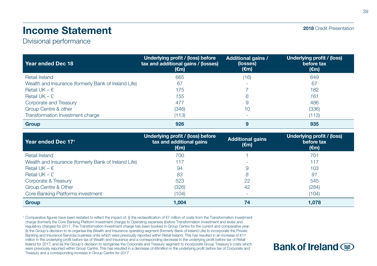# Income Statement

### Divisional performance

| Year ended Dec 18                                    | Underlying profit / (loss) before<br>tax and additional gains / (losses)<br>(€m) | <b>Additional gains /</b><br>(losses)<br>(€m) | Underlying profit / (loss)<br>before tax<br>$(\epsilon m)$ |
|------------------------------------------------------|----------------------------------------------------------------------------------|-----------------------------------------------|------------------------------------------------------------|
| Retail Ireland                                       | 665                                                                              | (16)                                          | 649                                                        |
| Wealth and Insurance (formerly Bank of Ireland Life) | 67                                                                               |                                               | 67                                                         |
| Retail UK – $\epsilon$                               | 175                                                                              |                                               | 182                                                        |
| Retail $UK - E$                                      | 155                                                                              | 6                                             | 161                                                        |
| Corporate and Treasury                               | 477                                                                              | 9                                             | 486                                                        |
| Group Centre & other                                 | (346)                                                                            | 10                                            | (336)                                                      |
| Transformation Investment charge                     | (113)                                                                            | -                                             | (113)                                                      |
| Group                                                | 926                                                                              | 9                                             | 935                                                        |

| Year ended Dec 171                                   | Underlying profit / (loss <u>) before</u><br>tax and additional gains<br>(€m) | <b>Additional gains</b><br>(€m) | Underlying profit / (loss)<br>before tax<br>$(\epsilon m)$ |
|------------------------------------------------------|-------------------------------------------------------------------------------|---------------------------------|------------------------------------------------------------|
| Retail Ireland                                       | 700                                                                           |                                 | 701                                                        |
| Wealth and Insurance (formerly Bank of Ireland Life) | 117                                                                           |                                 | 117                                                        |
| Retail UK – $\epsilon$                               | 94                                                                            | 9                               | 103                                                        |
| Retail $UK - E$                                      | 83                                                                            | 8                               | 91                                                         |
| Corporate & Treasury                                 | 523                                                                           | 22                              | 545                                                        |
| Group Centre & Other                                 | (326)                                                                         | 42                              | (284)                                                      |
| Core Banking Platforms investment                    | (104)                                                                         | ۰                               | (104)                                                      |
| Group                                                | 1.004                                                                         | 74                              | 1.078                                                      |

<sup>1</sup> Comparative figures have been restated to reflect the impact of: (i) the reclassification of €7 million of costs from the Transformation Investment charge (formerly the Core Banking Platform Investment charge) to Operating expenses (before Transformation Investment and levies and regulatory charges) for 2017. The Transformation Investment charge has been booked in Group Centre for the current and comparative year; (ii) the Group's decision to re-organise the Wealth and Insurance operating segment (formerly Bank of Ireland Life) to incorporate the Private Banking and Insurance Services business units which were previously reported within Retail Ireland. This has resulted in an increase of €11 million in the underlying profit before tax of Wealth and Insurance and a corresponding decrease in the underlying profit before tax of Retail Ireland for 2017; and (iii) the Group's decision to reorganise the Corporate and Treasury segment to incorporate Group Treasury's costs which were previously reported within Group Centre. This has resulted in a decrease of €8million in the underlying profit before tax of Corporate and Treasury and a corresponding increase in Group Centre for 2017

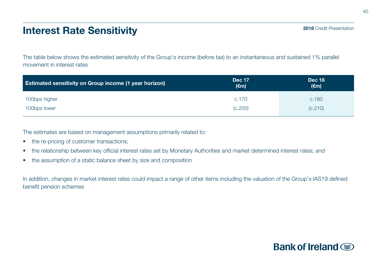# Interest Rate Sensitivity

The table below shows the estimated sensitivity of the Group's income (before tax) to an instantaneous and sustained 1% parallel movement in interest rates

| <b>Estimated sensitivity on Group income (1 year horizon)</b> | <b>Dec 17</b><br>(€m) | <b>Dec 18</b><br>$(\epsilon m)$ |  |  |
|---------------------------------------------------------------|-----------------------|---------------------------------|--|--|
| 100bps higher                                                 | c.170                 | c.180                           |  |  |
| 100bps lower                                                  | (C.200)               | (C.210)                         |  |  |

The estimates are based on management assumptions primarily related to:

- the re-pricing of customer transactions;
- the relationship between key official interest rates set by Monetary Authorities and market determined interest rates; and
- the assumption of a static balance sheet by size and composition

In addition, changes in market interest rates could impact a range of other items including the valuation of the Group's IAS19 defined benefit pension schemes

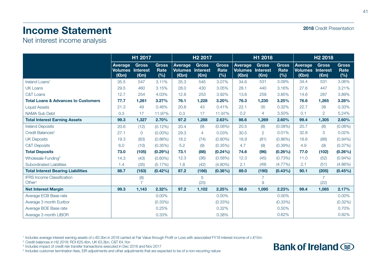# Income Statement

Net interest income analysis

|                                                         | H1 2017                                     |                                |                             | H <sub>2</sub> 2017                          |                                            | H1 2018                     |                                                        |                                                   | H <sub>2</sub> 2018          |                                                                        |                                |                             |
|---------------------------------------------------------|---------------------------------------------|--------------------------------|-----------------------------|----------------------------------------------|--------------------------------------------|-----------------------------|--------------------------------------------------------|---------------------------------------------------|------------------------------|------------------------------------------------------------------------|--------------------------------|-----------------------------|
|                                                         | Average<br><b>Volumes Interest</b><br>(€bn) | <b>Gross</b><br>$(\epsilon m)$ | <b>Gross</b><br>Rate<br>(%) | Average<br><b>Volumes</b><br>$(\epsilon$ bn) | <b>Gross</b><br>Interest<br>$(\epsilon m)$ | <b>Gross</b><br>Rate<br>(%) | Average<br><b>Volumes</b><br>$(\epsilon$ <sub>bn</sub> | <b>Gross</b><br><b>Interest</b><br>$(\epsilon m)$ | <b>Gross</b><br>Rate<br>(% ) | <b>Average</b><br><b>Volumes Interest</b><br>$(\epsilon$ <sub>bn</sub> | <b>Gross</b><br>$(\epsilon m)$ | <b>Gross</b><br>Rate<br>(%) |
| Ireland Loans <sup>1</sup>                              | 35.5                                        | 547                            | 3.11%                       | 35.3                                         | 545                                        | 3.07%                       | 34.6                                                   | 531                                               | 3.09%                        | 34.4                                                                   | 531                            | 3.06%                       |
| <b>UK Loans</b>                                         | 29.5                                        | 460                            | 3.15%                       | 28.0                                         | 430                                        | 3.05%                       | 28.1                                                   | 440                                               | 3.16%                        | 27.6                                                                   | 447                            | 3.21%                       |
| <b>C&amp;T Loans</b>                                    | 12.7                                        | 254                            | 4.03%                       | 12.8                                         | 253                                        | 3.92%                       | 13.6                                                   | 259                                               | 3.85%                        | 14.6                                                                   | 287                            | 3.89%                       |
| <b>Total Loans &amp; Advances to Customers</b>          | 77.7                                        | 1,261                          | 3.27%                       | 76.1                                         | 1,228                                      | 3.20%                       | 76.3                                                   | 1,230                                             | 3.25%                        | 76.6                                                                   | 1,265                          | 3.28%                       |
| <b>Liquid Assets</b>                                    | 21.3                                        | 49                             | 0.46%                       | 20.8                                         | 43                                         | 0.41%                       | 22.1                                                   | 35                                                | 0.32%                        | 22.7                                                                   | 38                             | 0.33%                       |
| <b>NAMA Sub Debt</b>                                    | 0.3                                         | 17                             | 11.97%                      | 0.3                                          | 17                                         | 11.97%                      | 0.2                                                    | $\overline{4}$                                    | 3.50%                        | 0.1                                                                    | $\overline{2}$                 | 5.24%                       |
| <b>Total Interest Earning Assets</b>                    | 99.3                                        | 1,327                          | 2.70%                       | 97.2                                         | 1,288                                      | 2.63%                       | 98.6                                                   | 1,269                                             | 2.60%                        | 99.4                                                                   | 1,305                          | 2.60%                       |
| <b>Ireland Deposits</b>                                 | 20.6                                        | (12)                           | $(0.12\%)$                  | 20.4                                         | (9)                                        | $(0.08\%)$                  | 20.5                                                   | (8)                                               | $(0.08\%)$                   | 20.7                                                                   | (8)                            | $(0.08\%)$                  |
| Credit Balances <sup>2</sup>                            | 27.1                                        | $\mathbf{0}$                   | $(0.00\%)$                  | 29.3                                         | 4                                          | 0.03%                       | 30.5                                                   | $\overline{2}$                                    | 0.01%                        | 32.8                                                                   | 3                              | 0.02%                       |
| <b>UK Deposits</b>                                      | 19.3                                        | (83)                           | $(0.86\%)$                  | 18.2                                         | (74)                                       | $(0.80\%)$                  | 18.9                                                   | (81)                                              | $(0.86\%)$                   | 18.6                                                                   | (88)                           | $(0.94\%)$                  |
| <b>C&amp;T Deposits</b>                                 | 6.0                                         | (10)                           | $(0.35\%)$                  | 5.2                                          | (9)                                        | $(0.35\%)$                  | 4.7                                                    | (9)                                               | $(0.39\%)$                   | 4.9                                                                    | (9)                            | (0.37%)                     |
| <b>Total Deposits</b>                                   | 73.0                                        | (105)                          | $(0.29\%)$                  | 73.1                                         | (88)                                       | $(0.24\%)$                  | 74.6                                                   | (96)                                              | $(0.26\%)$                   | 77.0                                                                   | (102)                          | $(0.26\%)$                  |
| Wholesale Funding <sup>3</sup>                          | 14.3                                        | (43)                           | $(0.60\%)$                  | 12.3                                         | (36)                                       | (0.58%)                     | 12.3                                                   | (45)                                              | $(0.73\%)$                   | 11.0                                                                   | (52)                           | $(0.94\%)$                  |
| Subordinated Liabilities                                | 1.4                                         | (35)                           | (5.17%)                     | 1.8                                          | (42)                                       | $(4.80\%)$                  | 2.1                                                    | (49)                                              | $(4.77\%)$                   | 2.1                                                                    | (51)                           | $(4.86\%)$                  |
| <b>Total Interest Bearing Liabilities</b>               | 88.7                                        | (183)                          | $(0.42\%)$                  | 87.2                                         | (166)                                      | $(0.38\%)$                  | 89.0                                                   | (190)                                             | $(0.43\%)$                   | 90.1                                                                   | (205)                          | $(0.45\%)$                  |
| <b>IFRS Income Classification</b><br>Other <sup>4</sup> |                                             | (8)<br>$\overline{7}$          |                             |                                              | 5<br>(25)                                  |                             |                                                        | 7<br>9                                            |                              |                                                                        | $\overline{7}$<br>(22)         |                             |
| <b>Net Interest Margin</b>                              | 99.3                                        | 1,143                          | 2.32%                       | 97.2                                         | 1,102                                      | 2.25%                       | 98.6                                                   | 1,095                                             | 2.23%                        | 99.4                                                                   | 1,085                          | 2.17%                       |
| Average ECB Base rate                                   |                                             |                                | $0.00\%$                    |                                              |                                            | $0.00\%$                    |                                                        |                                                   | $0.00\%$                     |                                                                        |                                | $0.00\%$                    |
| Average 3 month Euribor                                 |                                             |                                | $(0.33\%)$                  |                                              |                                            | $(0.33\%)$                  |                                                        |                                                   | $(0.33\%)$                   |                                                                        |                                | $(0.32\%)$                  |
| Average BOE Base rate                                   |                                             |                                | 0.25%                       |                                              |                                            | 0.32%                       |                                                        |                                                   | 0.50%                        |                                                                        |                                | 0.70%                       |
| Average 3 month LIBOR                                   |                                             |                                | 0.33%                       |                                              |                                            | 0.38%                       |                                                        |                                                   | 0.62%                        |                                                                        |                                | 0.82%                       |

<sup>1</sup> Includes average interest earning assets of c.€0.3bn in 2018 carried at Fair Value through Profit or Loss with associated FY18 interest income of c.€15m<br><sup>2</sup> Credit balances in H2 2018: ROI €25.4bn, UK €3.3bn, C&T €4.

<sup>3</sup> Includes impact of credit risk transfer transactions executed in Dec 2016 and Nov 2017

<sup>4</sup> Includes customer termination fees, EIR adjustments and other adjustments that are expected to be of a non-recurring nature

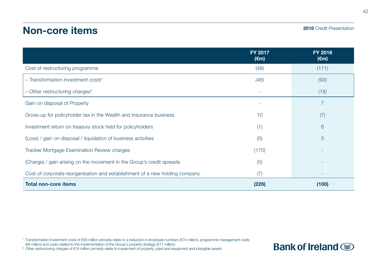# Non-core items

### 2018 Credit Presentation

|                                                                             | <b>FY 2017</b><br>$(\epsilon m)$ | <b>FY 2018</b><br>$(\epsilon m)$ |
|-----------------------------------------------------------------------------|----------------------------------|----------------------------------|
| Cost of restructuring programme                                             | (48)                             | (111)                            |
| - Transformation investment costs <sup>1</sup>                              | (48)                             | (93)                             |
| $-$ Other restructuring charges <sup>2</sup>                                |                                  | (18)                             |
| Gain on disposal of Property                                                |                                  | 7                                |
| Gross-up for policyholder tax in the Wealth and Insurance business          | 10                               | (7)                              |
| Investment return on treasury stock held for policyholders                  | (1)                              | 6                                |
| (Loss) / gain on disposal / liquidation of business activities              | (5)                              | 5                                |
| Tracker Mortgage Examination Review charges                                 | (170)                            |                                  |
| (Charge) / gain arising on the movement in the Group's credit spreads       | (5)                              |                                  |
| Cost of corporate reorganisation and establishment of a new holding company | (7)                              | ٠                                |
| <b>Total non-core items</b>                                                 | (226)                            | (100)                            |

<sup>1</sup> Transformation Investment costs of €93 million primarily relate to a reduction in employee numbers (€74 million), programme management costs

(€8 million) and costs related to the implementation of the Group's property strategy (€11 million)

<sup>2</sup> Other restructuring charges of €18 million primarily relate to impairment of property, plant and equipment and intangible assets

# **Bank of Ireland**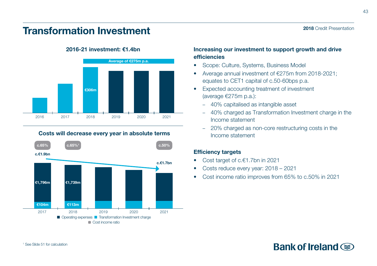# Transformation Investment



### 2016-21 investment: €1.4bn

# Costs will decrease every year in absolute terms



### Increasing our investment to support growth and drive efficiencies

- Scope: Culture, Systems, Business Model
- Average annual investment of €275m from 2018-2021; equates to CET1 capital of c.50-60bps p.a.
- Expected accounting treatment of investment (average €275m p.a.):
	- 40% capitalised as intangible asset
	- 40% charged as Transformation Investment charge in the Income statement
	- 20% charged as non-core restructuring costs in the Income statement

### Efficiency targets

- Cost target of c.€1.7bn in 2021
- Costs reduce every year: 2018 2021
- Cost income ratio improves from 65% to c.50% in 2021

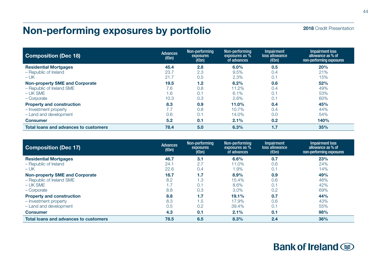# Non-performing exposures by portfolio

| 2018 Credit Presentation |  |  |
|--------------------------|--|--|
|--------------------------|--|--|

| <b>Composition (Dec 18)</b>                  | <b>Advances</b><br>$(\epsilon$ bn) | Non-performing<br>exposures<br>$(\epsilon$ bn) | Non-performing<br>exposures as %<br>of advances | <b>Impairment</b><br>loss allowance<br>$(\epsilon$ bn) | Impairment loss<br>allowance as % of<br>non-performing exposures |
|----------------------------------------------|------------------------------------|------------------------------------------------|-------------------------------------------------|--------------------------------------------------------|------------------------------------------------------------------|
| <b>Residential Mortgages</b>                 | 45.4                               | 2.8                                            | 6.0%                                            | 0.5                                                    | 20%                                                              |
| - Republic of Ireland                        | 23.7                               | 2.3                                            | 9.5%                                            | 0.4                                                    | 21%                                                              |
| $-UK$                                        | 21.7                               | 0.5                                            | 2.3%                                            | 0.1                                                    | 15%                                                              |
| <b>Non-property SME and Corporate</b>        | 19.5                               | 1.2                                            | 6.2%                                            | 0.6                                                    | 52%                                                              |
| - Republic of Ireland SME                    | 7.6                                | 0.8                                            | 11.2%                                           | 0.4                                                    | 49%                                                              |
| $- UK SME$                                   | 1.6                                | 0.1                                            | 6.1%                                            | 0.1                                                    | 53%                                                              |
| - Corporate                                  | 10.3                               | 0.3                                            | 2.6%                                            | 0.7                                                    | 60%                                                              |
| <b>Property and construction</b>             | 8.3                                | 0.9                                            | 11.0%                                           | 0.4                                                    | 45%                                                              |
| - Investment property                        | 7.7                                | 0.8                                            | 10.7%                                           | 0.4                                                    | 44%                                                              |
| - Land and development                       | 0.6                                | 0.1                                            | 14.0%                                           | 0.0                                                    | 54%                                                              |
| <b>Consumer</b>                              | 5.2                                | 0.1                                            | 2.1%                                            | 0.2                                                    | 140%                                                             |
| <b>Total loans and advances to customers</b> | 78.4                               | 5.0                                            | 6.3%                                            | 1.7                                                    | 35%                                                              |

| <b>Composition (Dec 17)</b>           | Advances<br>$(\epsilon$ bn) | Non-performing<br>exposures<br>$(\epsilon$ bn) | Non-performing<br>exposures as %<br>of advances | <b>Impairment</b><br>loss allowance<br>$(\epsilon$ bn) | <b>Impairment loss</b><br>allowance as % of<br>non-performing exposures |
|---------------------------------------|-----------------------------|------------------------------------------------|-------------------------------------------------|--------------------------------------------------------|-------------------------------------------------------------------------|
| <b>Residential Mortgages</b>          | 46.7                        | 3.1                                            | 6.6%                                            | 0.7                                                    | 23%                                                                     |
| - Republic of Ireland                 | 24.1                        | 2.7                                            | 11.0%                                           | 0.6                                                    | 24%                                                                     |
| $-UK$                                 | 22.6                        | 0.4                                            | 1.9%                                            | 0.1                                                    | 14%                                                                     |
| <b>Non-property SME and Corporate</b> | 18.7                        | 1.7                                            | 8.9%                                            | 0.9                                                    | 49%                                                                     |
| - Republic of Ireland SME             | 8.2                         | 1.3                                            | 15.4%                                           | 0.6                                                    | 46%                                                                     |
| $-UK SME$                             | 1.7                         | 0.1                                            | 8.6%                                            | 0.1                                                    | 42%                                                                     |
| - Corporate                           | 8.8                         | 0.3                                            | 3.0%                                            | 0.2                                                    | 69%                                                                     |
| <b>Property and construction</b>      | 8.8                         | 1.7                                            | 19.1%                                           | 0.7                                                    | 44%                                                                     |
| - Investment property                 | 8.3                         | 1.5                                            | 17.9%                                           | 0.6                                                    | 43%                                                                     |
| - Land and development                | 0.5                         | 0.2                                            | 39.4%                                           | 0.1                                                    | 55%                                                                     |
| <b>Consumer</b>                       | 4.3                         | 0.1                                            | 2.1%                                            | 0.1                                                    | 98%                                                                     |
| Total loans and advances to customers | 78.5                        | 6.5                                            | 8.3%                                            | 2.4                                                    | 36%                                                                     |

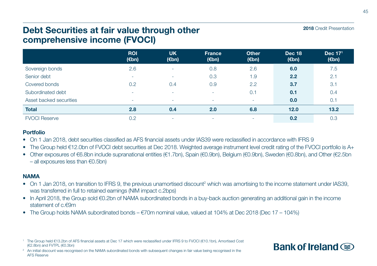# Debt Securities at fair value through other comprehensive income (FVOCI)

|                         | <b>ROI</b><br>$(\epsilon$ bn) | <b>UK</b><br>(€bn) | <b>France</b><br>$(\epsilon$ bn) | <b>Other</b><br>$(\epsilon$ bn) | <b>Dec 18</b><br>$(\epsilon$ bn) | Dec 171<br>$(\epsilon$ bn) |
|-------------------------|-------------------------------|--------------------|----------------------------------|---------------------------------|----------------------------------|----------------------------|
| Sovereign bonds         | 2.6                           | . .                | 0.8                              | 2.6                             | 6.0                              | 7.5                        |
| Senior debt             | $\overline{\phantom{a}}$      | ۰                  | 0.3                              | 1.9                             | 2.2                              | 2.1                        |
| Covered bonds           | 0.2                           | 0.4                | 0.9                              | 2.2                             | 3.7                              | 3.1                        |
| Subordinated debt       | . .                           | ۰                  |                                  | 0.1                             | 0.1                              | 0.4                        |
| Asset backed securities | ۰                             | ۰                  |                                  |                                 | 0.0                              | 0.1                        |
| <b>Total</b>            | 2.8                           | 0.4                | 2.0                              | 6.8                             | 12.0                             | 13.2                       |
| <b>FVOCI Reserve</b>    | 0.2                           | ۰                  | ۰                                | ٠                               | 0.2                              | 0.3                        |

### Portfolio

• On 1 Jan 2018, debt securities classified as AFS financial assets under IAS39 were reclassified in accordance with IFRS 9

• The Group held €12.0bn of FVOCI debt securities at Dec 2018. Weighted average instrument level credit rating of the FVOCI portfolio is A+

• Other exposures of €6.8bn include supranational entities (€1.7bn), Spain (€0.9bn), Belgium (€0.9bn), Sweden (€0.8bn), and Other (€2.5bn – all exposures less than €0.5bn)

### NAMA

- On 1 Jan 2018, on transition to IFRS 9, the previous unamortised discount<sup>2</sup> which was amortising to the income statement under IAS39, was transferred in full to retained earnings (NIM impact c.2bps)
- In April 2018, the Group sold €0.2bn of NAMA subordinated bonds in a buy-back auction generating an additional gain in the income statement of c.€9m
- The Group holds NAMA subordinated bonds €70m nominal value, valued at 104% at Dec 2018 (Dec 17 104%)

<sup>1</sup> The Group held €13.2bn of AFS financial assets at Dec 17 which were reclassified under IFRS 9 to FVOCI (€10.1bn), Amortised Cost (€2.8bn) and FVTPL (€0.3bn)

<sup>2</sup> An initial discount was recognised on the NAMA subordinated bonds with subsequent changes in fair value being recognised in the AFS Reserve

2018 Credit Presentation

Bank of Ireland  $\circledast$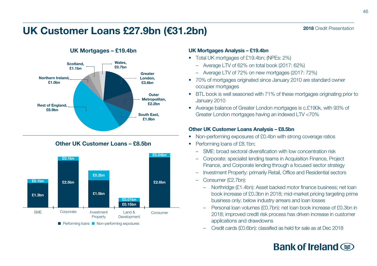# UK Customer Loans £27.9bn (€31.2bn)



### UK Mortgages – £19.4bn

### Other UK Customer Loans – £8.5bn



### UK Mortgages Analysis – £19.4bn

- Total UK mortgages of £19.4bn; (NPEs: 2%)
	- Average LTV of 62% on total book (2017: 62%)
	- Average LTV of 72% on new mortgages (2017: 72%)
- 70% of mortgages originated since January 2010 are standard owner occupier mortgages
- BTL book is well seasoned with 71% of these mortgages originating prior to January 2010
- Average balance of Greater London mortgages is c.£190k, with 93% of Greater London mortgages having an indexed LTV <70%

### Other UK Customer Loans Analysis – £8.5bn

- Non-performing exposures of £0.4bn with strong coverage ratios
- Performing loans of £8.1bn:
	- SME: broad sectoral diversification with low concentration risk
	- Corporate: specialist lending teams in Acquisition Finance, Project Finance, and Corporate lending through a focused sector strategy
	- Investment Property: primarily Retail, Office and Residential sectors
	- Consumer (£2.7bn):
		- Northridge (£1.4bn): Asset backed motor finance business; net loan book increase of £0.3bn in 2018; mid-market pricing targeting prime business only; below industry arrears and loan losses
		- Personal loan volumes (£0.7bn): net loan book increase of £0.3bn in 2018; improved credit risk process has driven increase in customer applications and drawdowns
		-

# Bank of Ireland  $\circledast$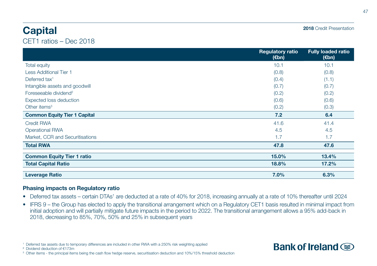# **Capital**

CET1 ratios – Dec 2018

|                                     | <b>Regulatory ratio</b><br>$(\epsilon$ bn) | <b>Fully loaded ratio</b><br>(€bn) |
|-------------------------------------|--------------------------------------------|------------------------------------|
| <b>Total equity</b>                 | 10.1                                       | 10.1                               |
| <b>Less Additional Tier 1</b>       | (0.8)                                      | (0.8)                              |
| Deferred tax <sup>1</sup>           | (0.4)                                      | (1.1)                              |
| Intangible assets and goodwill      | (0.7)                                      | (0.7)                              |
| Foreseeable dividend <sup>2</sup>   | (0.2)                                      | (0.2)                              |
| Expected loss deduction             | (0.6)                                      | (0.6)                              |
| Other items <sup>3</sup>            | (0.2)                                      | (0.3)                              |
| <b>Common Equity Tier 1 Capital</b> | 7.2                                        | 6.4                                |
| <b>Credit RWA</b>                   | 41.6                                       | 41.4                               |
| <b>Operational RWA</b>              | 4.5                                        | 4.5                                |
| Market, CCR and Securitisations     | 1.7                                        | 1.7                                |
| <b>Total RWA</b>                    | 47.8                                       | 47.6                               |
| <b>Common Equity Tier 1 ratio</b>   | 15.0%                                      | 13.4%                              |
| <b>Total Capital Ratio</b>          | 18.8%                                      | 17.2%                              |
| <b>Leverage Ratio</b>               | 7.0%                                       | 6.3%                               |

### Phasing impacts on Regulatory ratio

- Deferred tax assets certain DTAs<sup>1</sup> are deducted at a rate of 40% for 2018, increasing annually at a rate of 10% thereafter until 2024
- IFRS 9 the Group has elected to apply the transitional arrangement which on a Regulatory CET1 basis resulted in minimal impact from initial adoption and will partially mitigate future impacts in the period to 2022. The transitional arrangement allows a 95% add-back in 2018, decreasing to 85%, 70%, 50% and 25% in subsequent years

² Dividend deduction of €173m

47



<sup>1</sup> Deferred tax assets due to temporary differences are included in other RWA with a 250% risk weighting applied

<sup>&</sup>lt;sup>3</sup> Other items - the principal items being the cash flow hedge reserve, securitisation deduction and 10%/15% threshold deduction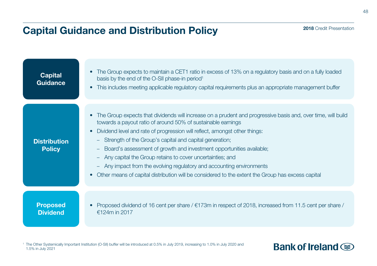# Capital Guidance and Distribution Policy

| <b>Capital</b><br><b>Guidance</b>    | The Group expects to maintain a CET1 ratio in excess of 13% on a regulatory basis and on a fully loaded<br>basis by the end of the O-SII phase-in period <sup>1</sup><br>This includes meeting applicable regulatory capital requirements plus an appropriate management buffer                                                                                                                                                                                                                                                                                                                                                                            |
|--------------------------------------|------------------------------------------------------------------------------------------------------------------------------------------------------------------------------------------------------------------------------------------------------------------------------------------------------------------------------------------------------------------------------------------------------------------------------------------------------------------------------------------------------------------------------------------------------------------------------------------------------------------------------------------------------------|
| <b>Distribution</b><br><b>Policy</b> | The Group expects that dividends will increase on a prudent and progressive basis and, over time, will build<br>towards a payout ratio of around 50% of sustainable earnings<br>Dividend level and rate of progression will reflect, amongst other things:<br>Strength of the Group's capital and capital generation;<br>-<br>Board's assessment of growth and investment opportunities available;<br>-<br>Any capital the Group retains to cover uncertainties; and<br>-<br>Any impact from the evolving regulatory and accounting environments<br>-<br>Other means of capital distribution will be considered to the extent the Group has excess capital |
| <b>Proposed</b><br><b>Dividend</b>   | Proposed dividend of 16 cent per share / $\epsilon$ 173m in respect of 2018, increased from 11.5 cent per share /<br>€124m in 2017                                                                                                                                                                                                                                                                                                                                                                                                                                                                                                                         |

<sup>1</sup> The Other Systemically Important Institution (O-SII) buffer will be introduced at 0.5% in July 2019, increasing to 1.0% in July 2020 and 1.5% in July 2021

# **Bank of Ireland**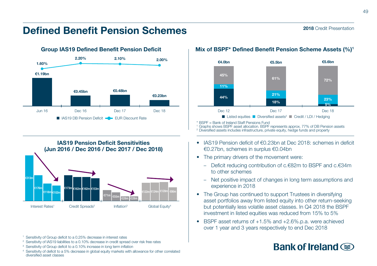# Defined Benefit Pension Schemes



IAS19 Pension Deficit Sensitivities (Jun 2016 / Dec 2016 / Dec 2017 / Dec 2018) Interest Rates<sup>1</sup> Credit Spreads<sup>2</sup> Inflation<sup>3</sup> Global Equity<sup>4</sup> €313m €176m €118m €102m €122m €124m €128m €90m €173m €162m €162m €153m  $71m \left| \right|$   $\epsilon$ 55

<sup>1</sup> Sensitivity of Group deficit to a 0.25% decrease in interest rates

- <sup>2</sup> Sensitivity of IAS19 liabilities to a 0.10% decrease in credit spread over risk free rates
- <sup>3</sup> Sensitivity of Group deficit to a 0.10% increase in long term inflation
- <sup>4</sup> Sensitivity of deficit to a 5% decrease in global equity markets with allowance for other correlated diversified asset classes

### Mix of BSPF\* Defined Benefit Pension Scheme Assets (%)1



\* BSPF = Bank of Ireland Staff Pensions Fund

<sup>1</sup> Graphs shows BSPF asset allocation. BSPF represents approx. 77% of DB Pension assets

<sup>2</sup> Diversified assets includes infrastructure, private equity, hedge funds and property

- IAS19 Pension deficit of €0.23bn at Dec 2018: schemes in deficit €0.27bn, schemes in surplus €0.04bn
- The primary drivers of the movement were:
	- Deficit reducing contribution of c.€82m to BSPF and c.€34m to other schemes
	- Net positive impact of changes in long term assumptions and experience in 2018
- The Group has continued to support Trustees in diversifying asset portfolios away from listed equity into other return-seeking but potentially less volatile asset classes. In Q4 2018 the BSPF investment in listed equities was reduced from 15% to 5%
- BSPF asset returns of +1.5% and +2.6%.p.a. were achieved over 1 year and 3 years respectively to end Dec 2018

# Bank of Ireland  $\circledast$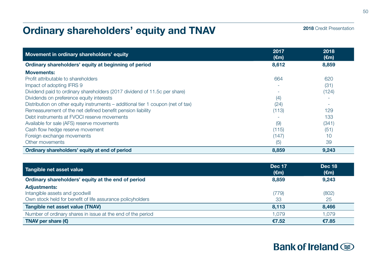# Ordinary shareholders' equity and TNAV

| 2018 Credit Presentation |  |  |
|--------------------------|--|--|
|--------------------------|--|--|

| Movement in ordinary shareholders' equity                                        | 2017<br>$(\epsilon m)$ | 2018<br>$(\epsilon m)$ |
|----------------------------------------------------------------------------------|------------------------|------------------------|
| Ordinary shareholders' equity at beginning of period                             | 8,612                  | 8,859                  |
| <b>Movements:</b>                                                                |                        |                        |
| Profit attributable to shareholders                                              | 664                    | 620                    |
| Impact of adopting IFRS 9                                                        |                        | (31)                   |
| Dividend paid to ordinary shareholders (2017 dividend of 11.5c per share)        |                        | (124)                  |
| Dividends on preference equity interests                                         | (4)                    |                        |
| Distribution on other equity instruments – additional tier 1 coupon (net of tax) | (24)                   |                        |
| Remeasurement of the net defined benefit pension liability                       | (113)                  | 129                    |
| Debt instruments at FVOCI reserve movements                                      |                        | 133                    |
| Available for sale (AFS) reserve movements                                       | (9)                    | (341)                  |
| Cash flow hedge reserve movement                                                 | (115)                  | (51)                   |
| Foreign exchange movements                                                       | (147)                  | 10                     |
| Other movements                                                                  | (5)                    | 39                     |
| Ordinary shareholders' equity at end of period                                   | 8,859                  | 9.243                  |

| Tangible net asset value                                    | <b>Dec 17</b><br>(€m) | <b>Dec 18</b><br>$(\epsilon m)$ |
|-------------------------------------------------------------|-----------------------|---------------------------------|
| Ordinary shareholders' equity at the end of period          | 8.859                 | 9.243                           |
| <b>Adjustments:</b>                                         |                       |                                 |
| Intangible assets and goodwill                              | (779)                 | (802)                           |
| Own stock held for benefit of life assurance policyholders  | 33                    | 25                              |
| Tangible net asset value (TNAV)                             | 8.113                 | 8.466                           |
| Number of ordinary shares in issue at the end of the period | 1.079                 | 1.079                           |
| TNAV per share $(\epsilon)$                                 | €7.52                 | €7.85                           |

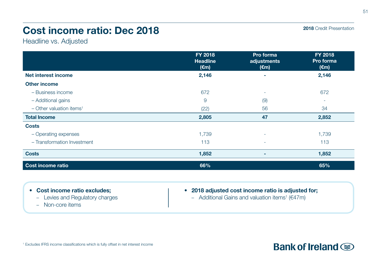# Cost income ratio: Dec 2018

Headline vs. Adjusted

|                                        | FY 2018<br><b>Headline</b><br>$(\epsilon m)$ | Pro forma<br>adjustments<br>$(\epsilon m)$ | FY 2018<br>Pro forma<br>(€m) |
|----------------------------------------|----------------------------------------------|--------------------------------------------|------------------------------|
| Net interest income                    | 2,146                                        | ۰                                          | 2,146                        |
| <b>Other income</b>                    |                                              |                                            |                              |
| - Business income                      | 672                                          | $\sim$                                     | 672                          |
| - Additional gains                     | 9                                            | (9)                                        | ٠                            |
| $-$ Other valuation items <sup>1</sup> | (22)                                         | 56                                         | 34                           |
| <b>Total Income</b>                    | 2,805                                        | 47                                         | 2,852                        |
| <b>Costs</b>                           |                                              |                                            |                              |
| - Operating expenses                   | 1,739                                        | $\overline{\phantom{a}}$                   | 1,739                        |
| - Transformation Investment            | 113                                          | ٠                                          | 113                          |
| <b>Costs</b>                           | 1,852                                        | ۰                                          | 1,852                        |
| Cost income ratio                      | 66%                                          |                                            | 65%                          |

- Cost income ratio excludes;
	- Levies and Regulatory charges
	- Non-core items
- 2018 adjusted cost income ratio is adjusted for;
	- Additional Gains and valuation items<sup>1</sup> ( $€47m$ )

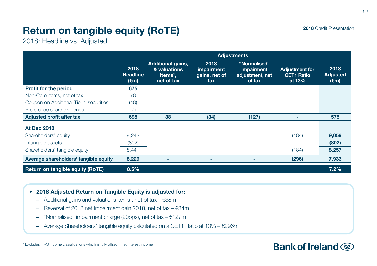# Return on tangible equity (RoTE)

2018: Headline vs. Adjusted

|                                        |                                           | <b>Adjustments</b>                                                             |                                            |                                                         |                                                      |                                           |
|----------------------------------------|-------------------------------------------|--------------------------------------------------------------------------------|--------------------------------------------|---------------------------------------------------------|------------------------------------------------------|-------------------------------------------|
|                                        | 2018<br><b>Headline</b><br>$(\epsilon m)$ | <b>Additional gains,</b><br>& valuations<br>items <sup>1</sup> ,<br>net of tax | 2018<br>impairment<br>gains, net of<br>tax | "Normalised"<br>impairment<br>adjustment, net<br>of tax | <b>Adjustment for</b><br><b>CET1 Ratio</b><br>at 13% | 2018<br><b>Adjusted</b><br>$(\epsilon m)$ |
| <b>Profit for the period</b>           | 675                                       |                                                                                |                                            |                                                         |                                                      |                                           |
| Non-Core items, net of tax             | 78                                        |                                                                                |                                            |                                                         |                                                      |                                           |
| Coupon on Additional Tier 1 securities | (48)                                      |                                                                                |                                            |                                                         |                                                      |                                           |
| Preference share dividends             | (7)                                       |                                                                                |                                            |                                                         |                                                      |                                           |
| <b>Adjusted profit after tax</b>       | 698                                       | 38                                                                             | (34)                                       | (127)                                                   | ۰                                                    | 575                                       |
| <b>At Dec 2018</b>                     |                                           |                                                                                |                                            |                                                         |                                                      |                                           |
| Shareholders' equity                   | 9,243                                     |                                                                                |                                            |                                                         | (184)                                                | 9,059                                     |
| Intangible assets                      | (802)                                     |                                                                                |                                            |                                                         |                                                      | (802)                                     |
| Shareholders' tangible equity          | 8,441                                     |                                                                                |                                            |                                                         | (184)                                                | 8,257                                     |
| Average shareholders' tangible equity  | 8,229                                     |                                                                                |                                            | ۰                                                       | (296)                                                | 7,933                                     |
| Return on tangible equity (RoTE)       | 8.5%                                      |                                                                                |                                            |                                                         |                                                      | 7.2%                                      |

- 2018 Adjusted Return on Tangible Equity is adjusted for;
	- $-$  Additional gains and valuations items<sup>1</sup>, net of tax  $-$  €38m
	- Reversal of 2018 net impairment gain 2018, net of tax €34m
	- "Normalised" impairment charge (20bps), net of tax €127m
	- Average Shareholders' tangible equity calculated on a CET1 Ratio at 13% €296m

2018 Credit Presentation

# **Bank of Ireland Some**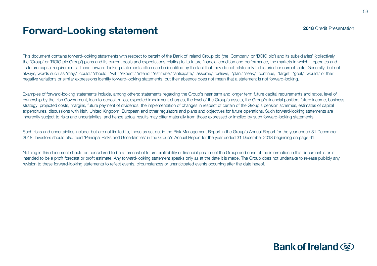# Forward-Looking statement

This document contains forward-looking statements with respect to certain of the Bank of Ireland Group plc (the 'Company' or 'BOIG plc') and its subsidiaries' (collectively the 'Group' or 'BOIG plc Group') plans and its current goals and expectations relating to its future financial condition and performance, the markets in which it operates and its future capital requirements. These forward-looking statements often can be identified by the fact that they do not relate only to historical or current facts. Generally, but not always, words such as 'may,' 'could,' 'should,' 'will,' 'expect,' 'intend,' 'estimate,' 'anticipate,' 'assume,' 'believe,' 'plan,' 'seek,' 'continue,' 'target,' 'goal,' 'would,' or their negative variations or similar expressions identify forward-looking statements, but their absence does not mean that a statement is not forward-looking.

Examples of forward-looking statements include, among others: statements regarding the Group's near term and longer term future capital requirements and ratios, level of ownership by the Irish Government, loan to deposit ratios, expected impairment charges, the level of the Group's assets, the Group's financial position, future income, business strategy, projected costs, margins, future payment of dividends, the implementation of changes in respect of certain of the Group's pension schemes, estimates of capital expenditures, discussions with Irish, United Kingdom, European and other regulators and plans and objectives for future operations. Such forward-looking statements are inherently subject to risks and uncertainties, and hence actual results may differ materially from those expressed or implied by such forward-looking statements.

Such risks and uncertainties include, but are not limited to, those as set out in the Risk Management Report in the Group's Annual Report for the year ended 31 December 2018. Investors should also read 'Principal Risks and Uncertainties' in the Group's Annual Report for the year ended 31 December 2018 beginning on page 61.

Nothing in this document should be considered to be a forecast of future profitability or financial position of the Group and none of the information in this document is or is intended to be a profit forecast or profit estimate. Any forward-looking statement speaks only as at the date it is made. The Group does not undertake to release publicly any revision to these forward-looking statements to reflect events, circumstances or unanticipated events occurring after the date hereof.